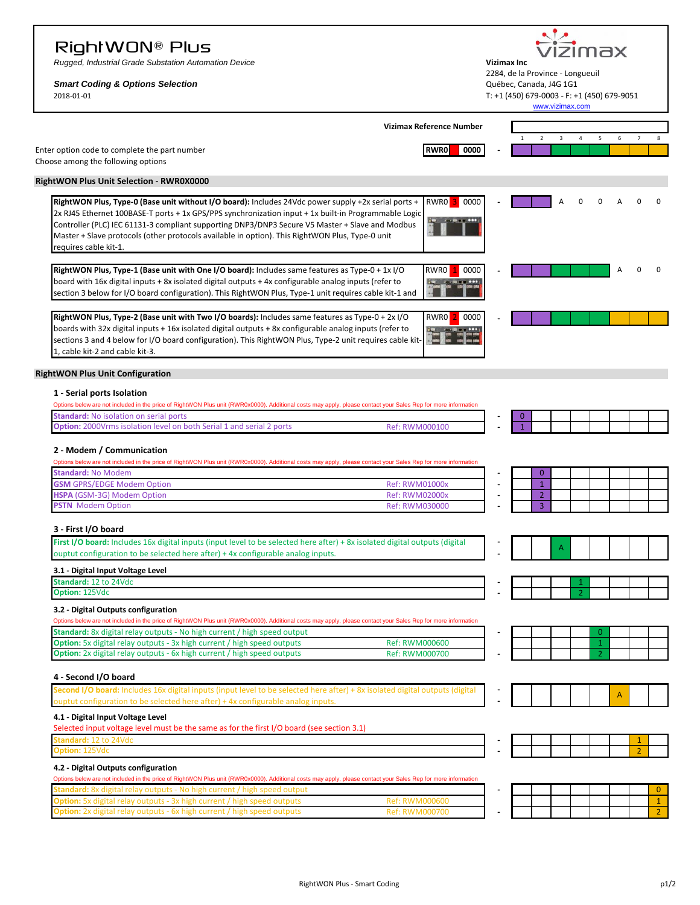## RightWON® Plus

*Rugged, Industrial Grade Substation Automation Device* **Vizimax Inc**

**ption:** 2x digital relay outputs - 6x high current / high speed outputs

vizimax 2284, de la Province - Longueuil<br>Québec, Canada, J4G 1G1

| <b>Smart Coding &amp; Options Selection</b><br>2018-01-01                                                                                                                                                                                                                                                                                                                                                                                  |                                                |  | Québec, Canada, J4G 1G1<br>T: +1 (450) 679-0003 - F: +1 (450) 679-9051 | www.vizimax.com |   |                |                     |                |
|--------------------------------------------------------------------------------------------------------------------------------------------------------------------------------------------------------------------------------------------------------------------------------------------------------------------------------------------------------------------------------------------------------------------------------------------|------------------------------------------------|--|------------------------------------------------------------------------|-----------------|---|----------------|---------------------|----------------|
|                                                                                                                                                                                                                                                                                                                                                                                                                                            | <b>Vizimax Reference Number</b>                |  |                                                                        |                 |   |                |                     |                |
| Enter option code to complete the part number<br>Choose among the following options                                                                                                                                                                                                                                                                                                                                                        | <b>RWR0</b><br>0000                            |  | $\overline{2}$<br>$\overline{1}$                                       | 3               | 4 | 5              | $\overline{7}$<br>6 | 8              |
| <b>RightWON Plus Unit Selection - RWR0X0000</b>                                                                                                                                                                                                                                                                                                                                                                                            |                                                |  |                                                                        |                 |   |                |                     |                |
| RightWON Plus, Type-0 (Base unit without I/O board): Includes 24Vdc power supply +2x serial ports +<br>2x RJ45 Ethernet 100BASE-T ports + 1x GPS/PPS synchronization input + 1x built-in Programmable Logic<br>Controller (PLC) IEC 61131-3 compliant supporting DNP3/DNP3 Secure V5 Master + Slave and Modbus<br>Master + Slave protocols (other protocols available in option). This RightWON Plus, Type-0 unit<br>requires cable kit-1. | RWRO <sup>3</sup><br>0000                      |  |                                                                        |                 |   |                |                     |                |
| RightWON Plus, Type-1 (Base unit with One I/O board): Includes same features as Type-0 + 1x I/O<br>board with 16x digital inputs + 8x isolated digital outputs + 4x configurable analog inputs (refer to<br>section 3 below for I/O board configuration). This RightWON Plus, Type-1 unit requires cable kit-1 and                                                                                                                         | RWR0<br>0000                                   |  |                                                                        |                 |   |                |                     |                |
| RightWON Plus, Type-2 (Base unit with Two I/O boards): Includes same features as Type-0 + 2x I/O<br>boards with 32x digital inputs + 16x isolated digital outputs + 8x configurable analog inputs (refer to<br>sections 3 and 4 below for I/O board configuration). This RightWON Plus, Type-2 unit requires cable kit-<br>1, cable kit-2 and cable kit-3.                                                                                 | RWR0<br>0000                                   |  |                                                                        |                 |   |                |                     |                |
| <b>RightWON Plus Unit Configuration</b>                                                                                                                                                                                                                                                                                                                                                                                                    |                                                |  |                                                                        |                 |   |                |                     |                |
| 1 - Serial ports Isolation<br>Options below are not included in the price of RightWON Plus unit (RWR0x0000). Additional costs may apply, please contact your Sales Rep for more information                                                                                                                                                                                                                                                |                                                |  |                                                                        |                 |   |                |                     |                |
| Standard: No isolation on serial ports<br>Option: 2000Vrms isolation level on both Serial 1 and serial 2 ports                                                                                                                                                                                                                                                                                                                             | Ref: RWM000100                                 |  |                                                                        |                 |   |                |                     |                |
| 2 - Modem / Communication<br>Options below are not included in the price of RightWON Plus unit (RWR0x0000). Additional costs may apply, please contact your Sales Rep for more information<br>Standard: No Modem<br><b>GSM</b> GPRS/EDGE Modem Option<br>HSPA (GSM-3G) Modem Option<br><b>PSTN</b> Modem Option                                                                                                                            | <b>Ref: RWM01000x</b><br><b>Ref: RWM02000x</b> |  | $\mathbf{0}$<br>$\mathbf{1}$<br>$\overline{2}$<br>$\overline{3}$       |                 |   |                |                     |                |
|                                                                                                                                                                                                                                                                                                                                                                                                                                            | <b>Ref: RWM030000</b>                          |  |                                                                        |                 |   |                |                     |                |
| 3 - First I/O board<br>First I/O board: Includes 16x digital inputs (input level to be selected here after) + 8x isolated digital outputs (digital<br>ouptut configuration to be selected here after) + 4x configurable analog inputs.                                                                                                                                                                                                     |                                                |  |                                                                        |                 |   |                |                     |                |
| 3.1 - Digital Input Voltage Level                                                                                                                                                                                                                                                                                                                                                                                                          |                                                |  |                                                                        |                 |   |                |                     |                |
| Standard: 12 to 24Vdc                                                                                                                                                                                                                                                                                                                                                                                                                      |                                                |  |                                                                        |                 |   |                |                     |                |
| <b>Jption:</b> 125Vdc<br>3.2 - Digital Outputs configuration<br>Options below are not included in the price of RightWON Plus unit (RWR0x0000). Additional costs may apply, please contact your Sales Rep for more information                                                                                                                                                                                                              |                                                |  |                                                                        |                 |   |                |                     |                |
| <b>Standard:</b> 8x digital relay outputs - No high current / high speed output                                                                                                                                                                                                                                                                                                                                                            |                                                |  |                                                                        |                 |   | $\overline{0}$ |                     |                |
| Option: 5x digital relay outputs - 3x high current / high speed outputs                                                                                                                                                                                                                                                                                                                                                                    | Ref: RWM000600                                 |  |                                                                        |                 |   |                |                     |                |
| Option: 2x digital relay outputs - 6x high current / high speed outputs                                                                                                                                                                                                                                                                                                                                                                    | Ref: RWM000700                                 |  |                                                                        |                 |   | $\overline{z}$ |                     |                |
| 4 - Second I/O board                                                                                                                                                                                                                                                                                                                                                                                                                       |                                                |  |                                                                        |                 |   |                |                     |                |
| Second I/O board: Includes 16x digital inputs (input level to be selected here after) + 8x isolated digital outputs (digital<br>ouptut configuration to be selected here after) + 4x configurable analog inputs.                                                                                                                                                                                                                           |                                                |  |                                                                        |                 |   |                | A                   |                |
| 4.1 - Digital Input Voltage Level                                                                                                                                                                                                                                                                                                                                                                                                          |                                                |  |                                                                        |                 |   |                |                     |                |
| Selected input voltage level must be the same as for the first I/O board (see section 3.1)<br>itandard: 12 to 24Vdc                                                                                                                                                                                                                                                                                                                        |                                                |  |                                                                        |                 |   |                |                     |                |
| <b>Option: 125Vdc</b>                                                                                                                                                                                                                                                                                                                                                                                                                      |                                                |  |                                                                        |                 |   |                | $\overline{2}$      |                |
| 4.2 - Digital Outputs configuration                                                                                                                                                                                                                                                                                                                                                                                                        |                                                |  |                                                                        |                 |   |                |                     |                |
| Options below are not included in the price of RightWON Plus unit (RWR0x0000). Additional costs may apply, please contact your Sales Rep for more information<br>tandard: 8x digital relay outputs - No high current / high speed output                                                                                                                                                                                                   |                                                |  |                                                                        |                 |   |                |                     | $\overline{0}$ |

**Option:** 5x digital relay outputs - 3x high current / high speed outputs Ref: RWM000600 Ref: RWM000600 **Ref: RWM000700** 2x digital relay outputs - 6x high current / high speed outputs Ref: RWM000700